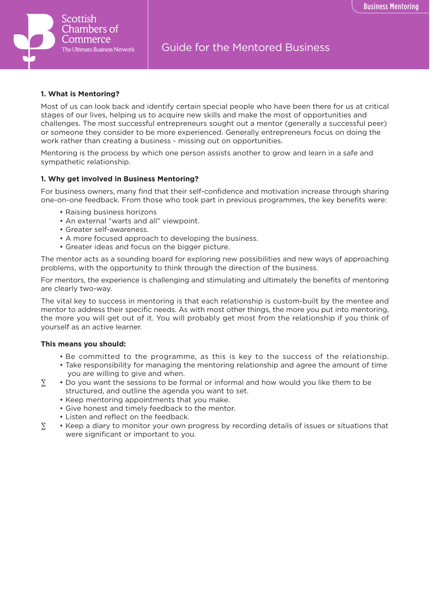

## **1. What is Mentoring?**

Most of us can look back and identify certain special people who have been there for us at critical stages of our lives, helping us to acquire new skills and make the most of opportunities and challenges. The most successful entrepreneurs sought out a mentor (generally a successful peer) or someone they consider to be more experienced. Generally entrepreneurs focus on doing the work rather than creating a business - missing out on opportunities.

Mentoring is the process by which one person assists another to grow and learn in a safe and sympathetic relationship.

# **1. Why get involved in Business Mentoring?**

For business owners, many find that their self-confidence and motivation increase through sharing one-on-one feedback. From those who took part in previous programmes, the key benefits were:

- Raising business horizons
- An external "warts and all" viewpoint.
- Greater self-awareness.
- A more focused approach to developing the business.
- Greater ideas and focus on the bigger picture.

The mentor acts as a sounding board for exploring new possibilities and new ways of approaching problems, with the opportunity to think through the direction of the business.

For mentors, the experience is challenging and stimulating and ultimately the benefits of mentoring are clearly two-way.

The vital key to success in mentoring is that each relationship is custom-built by the mentee and mentor to address their specific needs. As with most other things, the more you put into mentoring, the more you will get out of it. You will probably get most from the relationship if you think of yourself as an active learner.

## **This means you should:**

- Be committed to the programme, as this is key to the success of the relationship.
- Take responsibility for managing the mentoring relationship and agree the amount of time you are willing to give and when.
- ∑ Do you want the sessions to be formal or informal and how would you like them to be structured, and outline the agenda you want to set.
	- Keep mentoring appointments that you make.
	- Give honest and timely feedback to the mentor.
	- Listen and reflect on the feedback.
- ∑ Keep a diary to monitor your own progress by recording details of issues or situations that were significant or important to you.